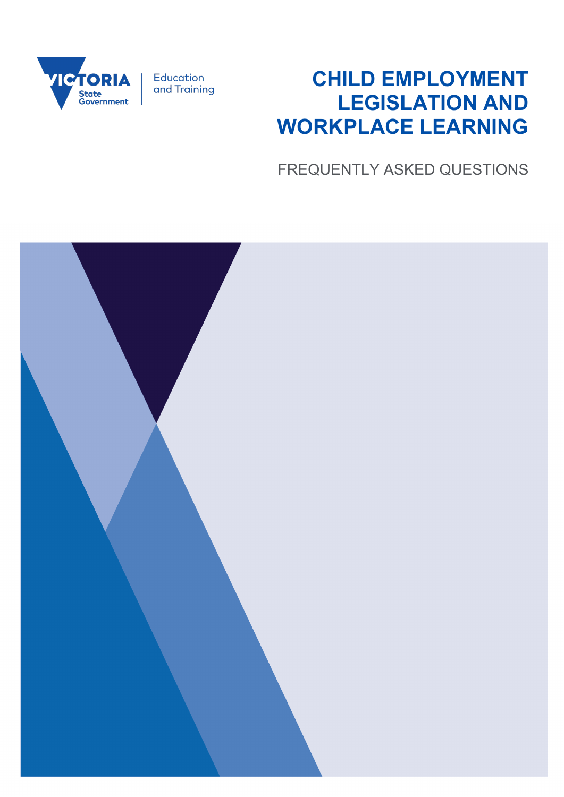

Education and Training



FREQUENTLY ASKED QUESTIONS

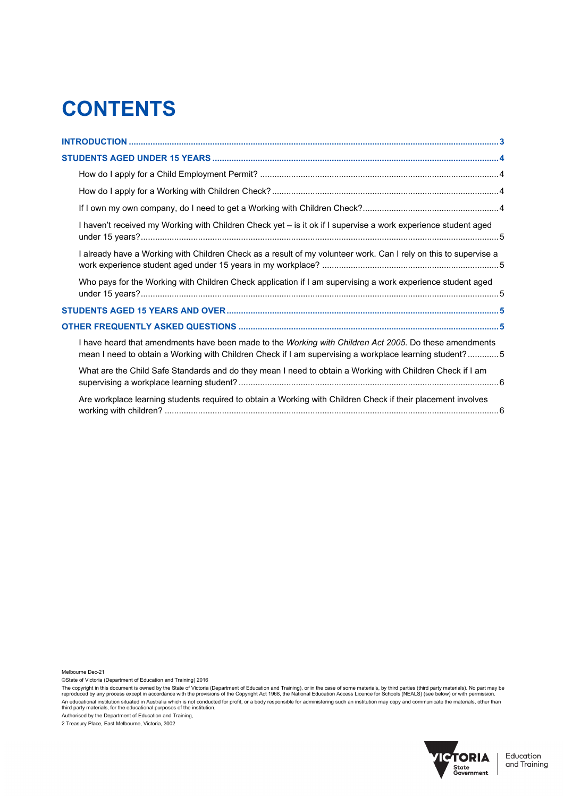# **CONTENTS**

| I haven't received my Working with Children Check yet - is it ok if I supervise a work experience student aged                                                                                                   |  |
|------------------------------------------------------------------------------------------------------------------------------------------------------------------------------------------------------------------|--|
| I already have a Working with Children Check as a result of my volunteer work. Can I rely on this to supervise a                                                                                                 |  |
| Who pays for the Working with Children Check application if I am supervising a work experience student aged                                                                                                      |  |
|                                                                                                                                                                                                                  |  |
|                                                                                                                                                                                                                  |  |
| I have heard that amendments have been made to the Working with Children Act 2005. Do these amendments<br>mean I need to obtain a Working with Children Check if I am supervising a workplace learning student?5 |  |
| What are the Child Safe Standards and do they mean I need to obtain a Working with Children Check if I am                                                                                                        |  |
| Are workplace learning students required to obtain a Working with Children Check if their placement involves                                                                                                     |  |

Melbourne Dec-21

©State of Victoria (Department of Education and Training) 2016

The copyright in this document is owned by the State of Victoria (Department of Education and Training), or in the case of some materials, by third parties (third party materials). No part may be<br>reproduced by any process An educational institution situated in Australia which is not conducted for profit, or a body responsible for administering such an institution may copy and communicate the materials, other than<br>third party materials, for

Authorised by the Department of Education and Training, 2 Treasury Place, East Melbourne, Victoria, 3002

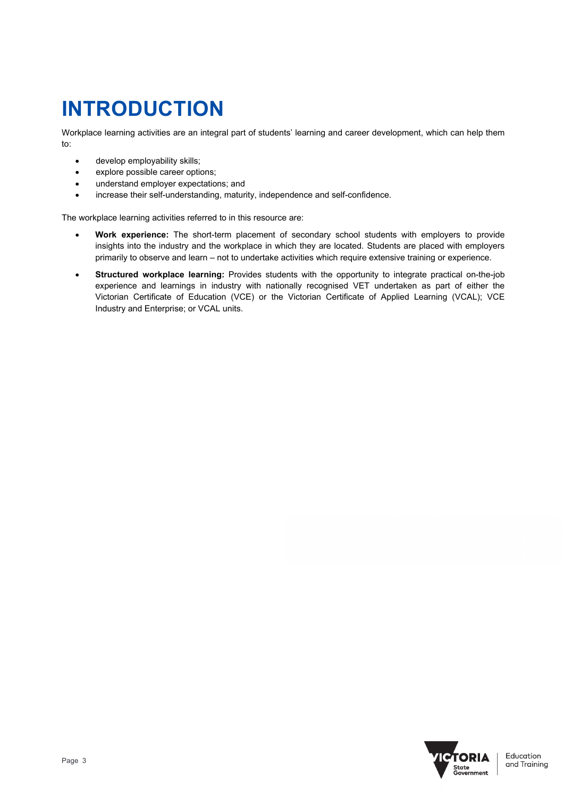## **INTRODUCTION**

Workplace learning activities are an integral part of students' learning and career development, which can help them to:

- develop employability skills;
- explore possible career options;
- understand employer expectations; and
- increase their self-understanding, maturity, independence and self-confidence.

The workplace learning activities referred to in this resource are:

- **Work experience:** The short-term placement of secondary school students with employers to provide insights into the industry and the workplace in which they are located. Students are placed with employers primarily to observe and learn – not to undertake activities which require extensive training or experience.
- **Structured workplace learning:** Provides students with the opportunity to integrate practical on-the-job experience and learnings in industry with nationally recognised VET undertaken as part of either the Victorian Certificate of Education (VCE) or the Victorian Certificate of Applied Learning (VCAL); VCE Industry and Enterprise; or VCAL units.

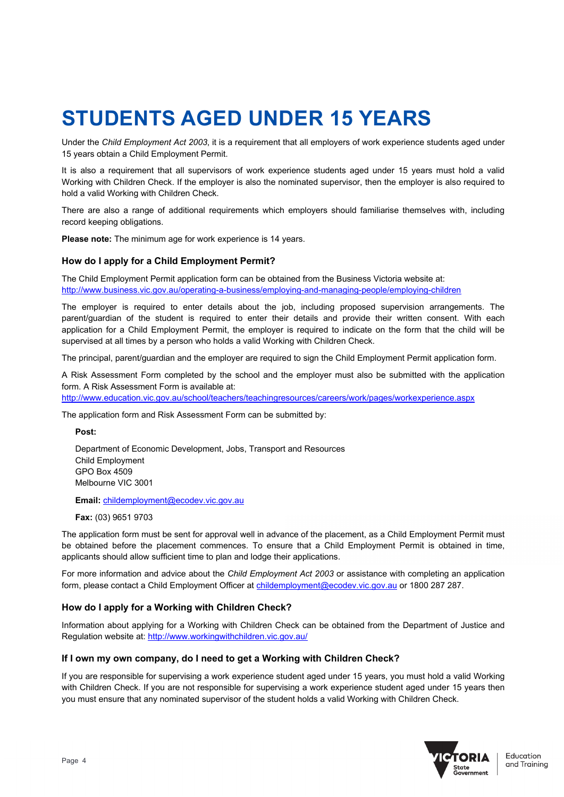## **STUDENTS AGED UNDER 15 YEARS**

Under the *Child Employment Act 2003*, it is a requirement that all employers of work experience students aged under 15 years obtain a Child Employment Permit.

It is also a requirement that all supervisors of work experience students aged under 15 years must hold a valid Working with Children Check. If the employer is also the nominated supervisor, then the employer is also required to hold a valid Working with Children Check.

There are also a range of additional requirements which employers should familiarise themselves with, including record keeping obligations.

**Please note:** The minimum age for work experience is 14 years.

#### **How do I apply for a Child Employment Permit?**

The Child Employment Permit application form can be obtained from the Business Victoria website at: <http://www.business.vic.gov.au/operating-a-business/employing-and-managing-people/employing-children>

The employer is required to enter details about the job, including proposed supervision arrangements. The parent/guardian of the student is required to enter their details and provide their written consent. With each application for a Child Employment Permit, the employer is required to indicate on the form that the child will be supervised at all times by a person who holds a valid Working with Children Check.

The principal, parent/guardian and the employer are required to sign the Child Employment Permit application form.

A Risk Assessment Form completed by the school and the employer must also be submitted with the application form. A Risk Assessment Form is available at:

<http://www.education.vic.gov.au/school/teachers/teachingresources/careers/work/pages/workexperience.aspx>

The application form and Risk Assessment Form can be submitted by:

**Post:**

Department of Economic Development, Jobs, Transport and Resources Child Employment GPO Box 4509 Melbourne VIC 3001

**Email:** [childemployment@ecodev.vic.gov.au](mailto:childemployment@ecodev.vic.gov.au)

**Fax:** (03) 9651 9703

The application form must be sent for approval well in advance of the placement, as a Child Employment Permit must be obtained before the placement commences. To ensure that a Child Employment Permit is obtained in time, applicants should allow sufficient time to plan and lodge their applications.

For more information and advice about the *Child Employment Act 2003* or assistance with completing an application form, please contact a Child Employment Officer at [childemployment@ecodev.vic.gov.au](mailto:childemployment@ecodev.vic.gov.au) or 1800 287 287.

#### **How do I apply for a Working with Children Check?**

Information about applying for a Working with Children Check can be obtained from the Department of Justice and Regulation website at: <http://www.workingwithchildren.vic.gov.au/>

#### **If I own my own company, do I need to get a Working with Children Check?**

If you are responsible for supervising a work experience student aged under 15 years, you must hold a valid Working with Children Check. If you are not responsible for supervising a work experience student aged under 15 years then you must ensure that any nominated supervisor of the student holds a valid Working with Children Check.

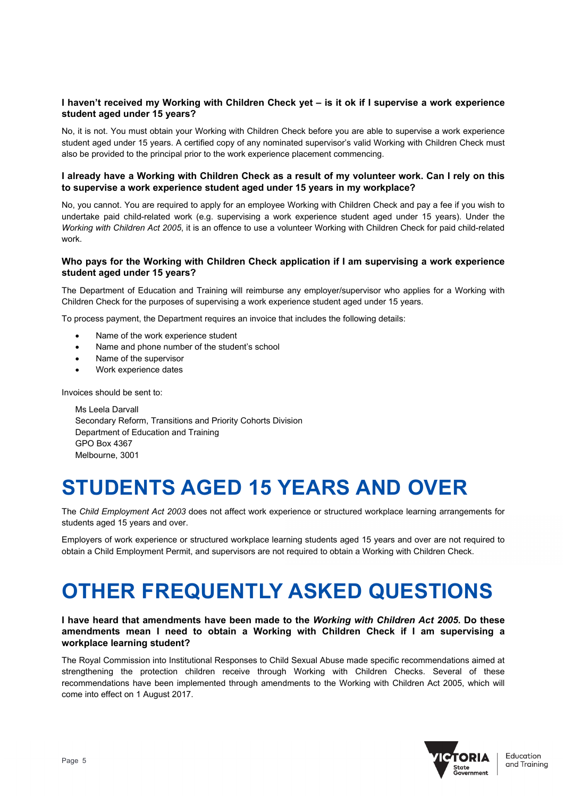#### **I haven't received my Working with Children Check yet – is it ok if I supervise a work experience student aged under 15 years?**

No, it is not. You must obtain your Working with Children Check before you are able to supervise a work experience student aged under 15 years. A certified copy of any nominated supervisor's valid Working with Children Check must also be provided to the principal prior to the work experience placement commencing.

#### **I already have a Working with Children Check as a result of my volunteer work. Can I rely on this to supervise a work experience student aged under 15 years in my workplace?**

No, you cannot. You are required to apply for an employee Working with Children Check and pay a fee if you wish to undertake paid child-related work (e.g. supervising a work experience student aged under 15 years). Under the *Working with Children Act 2005*, it is an offence to use a volunteer Working with Children Check for paid child-related work.

#### **Who pays for the Working with Children Check application if I am supervising a work experience student aged under 15 years?**

The Department of Education and Training will reimburse any employer/supervisor who applies for a Working with Children Check for the purposes of supervising a work experience student aged under 15 years.

To process payment, the Department requires an invoice that includes the following details:

- Name of the work experience student
- Name and phone number of the student's school
- Name of the supervisor
- Work experience dates

Invoices should be sent to:

Ms Leela Darvall Secondary Reform, Transitions and Priority Cohorts Division Department of Education and Training GPO Box 4367 Melbourne, 3001

### **STUDENTS AGED 15 YEARS AND OVER**

The *Child Employment Act 2003* does not affect work experience or structured workplace learning arrangements for students aged 15 years and over.

Employers of work experience or structured workplace learning students aged 15 years and over are not required to obtain a Child Employment Permit, and supervisors are not required to obtain a Working with Children Check.

### **OTHER FREQUENTLY ASKED QUESTIONS**

**I have heard that amendments have been made to the** *Working with Children Act 2005***. Do these amendments mean I need to obtain a Working with Children Check if I am supervising a workplace learning student?**

The Royal Commission into Institutional Responses to Child Sexual Abuse made specific recommendations aimed at strengthening the protection children receive through Working with Children Checks. Several of these recommendations have been implemented through amendments to the Working with Children Act 2005, which will come into effect on 1 August 2017.